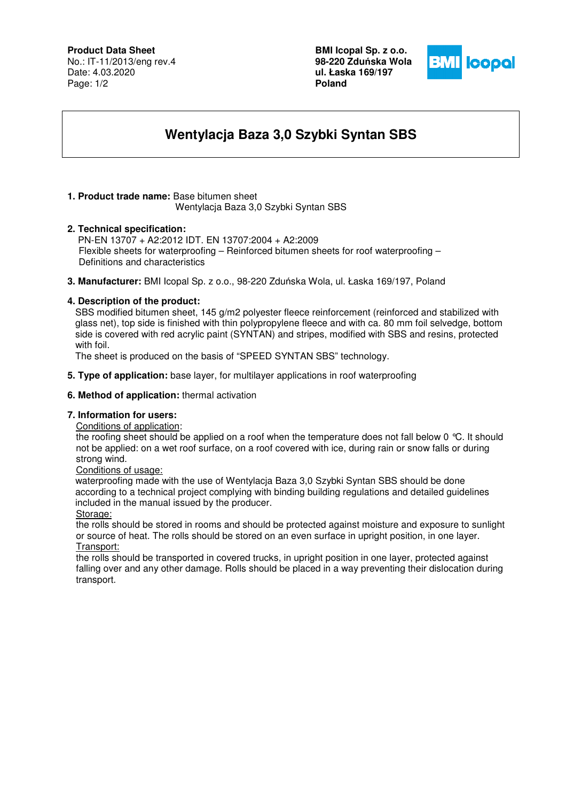## **Product Data Sheet**

No.: IT-11/2013/eng rev.4 Date: 4.03.2020 Page: 1/2

**BMI Icopal Sp. z o.o. 98-220 Zdu**ń**ska Wola ul. Łaska 169/197 Poland** 



# **Wentylacja Baza 3,0 Szybki Syntan SBS**

#### **1. Product trade name:** Base bitumen sheet Wentylacja Baza 3,0 Szybki Syntan SBS

**2. Technical specification:** PN-EN 13707 + A2:2012 IDT. EN 13707:2004 + A2:2009 Flexible sheets for waterproofing – Reinforced bitumen sheets for roof waterproofing – Definitions and characteristics

**3. Manufacturer:** BMI Icopal Sp. z o.o., 98-220 Zduńska Wola, ul. Łaska 169/197, Poland

### **4. Description of the product:**

 SBS modified bitumen sheet, 145 g/m2 polyester fleece reinforcement (reinforced and stabilized with glass net), top side is finished with thin polypropylene fleece and with ca. 80 mm foil selvedge, bottom side is covered with red acrylic paint (SYNTAN) and stripes, modified with SBS and resins, protected with foil.

The sheet is produced on the basis of "SPEED SYNTAN SBS" technology.

**5. Type of application:** base layer, for multilayer applications in roof waterproofing

#### **6. Method of application:** thermal activation

### **7. Information for users:**

Conditions of application:

the roofing sheet should be applied on a roof when the temperature does not fall below 0 °C. It should not be applied: on a wet roof surface, on a roof covered with ice, during rain or snow falls or during strong wind.

### Conditions of usage:

 waterproofing made with the use of Wentylacja Baza 3,0 Szybki Syntan SBS should be done according to a technical project complying with binding building regulations and detailed guidelines included in the manual issued by the producer.

Storage:

the rolls should be stored in rooms and should be protected against moisture and exposure to sunlight or source of heat. The rolls should be stored on an even surface in upright position, in one layer. Transport:

the rolls should be transported in covered trucks, in upright position in one layer, protected against falling over and any other damage. Rolls should be placed in a way preventing their dislocation during transport.